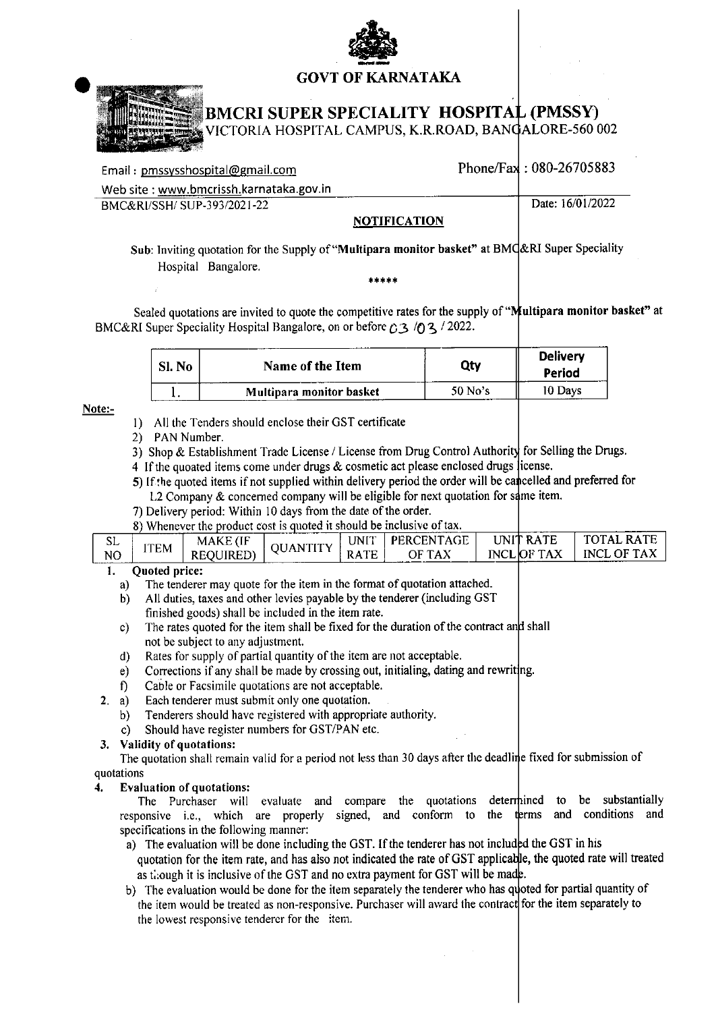

## **GOVT OF KARNATAKA**



# **BMCRI SUPER SPECIALITY HOSPITAL (PMSSY)**

/ICTORIA HOSPITAL CAMPUS, K.R.ROAD, BANGALORE-560 002

| Email: pmssysshospital@gmail.com        |                     | Phone/Fax: 080-26705883 |
|-----------------------------------------|---------------------|-------------------------|
| Web site: www.bmcrissh.karnataka.gov.in |                     |                         |
| BMC&RI/SSH/SUP-393/2021-22              |                     | Date: 16/01/2022        |
|                                         | <b>NOTIFICATION</b> |                         |

## NOTIFICATION

Sub: Inviting quotation for the Supply of "Multipara monitor basket" at BMC&RI Super Speciality Hospital Bangalore.

Sealed quotations are invited to quote the competitive rates for the supply of "Multipara monitor basket" at BMC&RI Super Speciality Hospital Bangalore, on or before  $\triangle 3$  /0 3 / 2022.

| $\mathbf{N_0}$ | Name of the Item         | Qty       | <b>Delivery</b><br>Period |
|----------------|--------------------------|-----------|---------------------------|
|                | Multipara monitor basket | $50$ No's | 10 Davs                   |

Note:-

- 1) All the Tenders should enclose their GST certificate
- 2) PAN Number.
- 3) Shop & Establishment Trade License / License from Drug Control Authority for Selling the Drugs.
- 4 If the quoated items come under drugs  $&$  cosmetic act please enclosed drugs license.
- 5) If the quoted items if not supplied within delivery period the order will be cancelled and preferred for L2 Company & concerned company will be eligible for next quotation for same item.
- 7) Delivery period: Within 10 days from the date of the order.
- 8) Whenever the product cost is quoted it should be inclusive of tax.

| SL             |             | <b>MAKE</b> (IF | <b>ANTITY</b> | UNIT        | PERCENTAGE | UNIT RATE         | <b>RATE</b><br><b>TOTAL</b> |
|----------------|-------------|-----------------|---------------|-------------|------------|-------------------|-----------------------------|
| N <sub>O</sub> | <b>ITEM</b> | REQUIRED)       | л             | <b>RATE</b> | OF TAX     | <b>INCLOF TAX</b> | <b>INCL OF TAX</b>          |
|                |             |                 |               |             |            |                   |                             |

#### **Ouoted price:** 1.

- The tenderer may quote for the item in the format of quotation attached. a)
- All duties, taxes and other levies payable by the tenderer (including GST  $b)$ finished goods) shall be included in the item rate.
- The rates quoted for the item shall be fixed for the duration of the contract and shall  $c)$ not be subject to any adjustment.
- Rates for supply of partial quantity of the item are not acceptable.  $\mathbf{d}$
- Corrections if any shall be made by crossing out, initialing, dating and rewriting.  $e)$
- $\mathbf{D}$ Cable or Facsimile quotations are not acceptable.
- Each tenderer must submit only one quotation.  $2. a)$ 
	- Tenderers should have registered with appropriate authority. b)
	- Should have register numbers for GST/PAN etc.  $c$ )

## 3. Validity of quotations:

The quotation shall remain valid for a period not less than 30 days after the deadline fixed for submission of quotations

### 4. **Evaluation of quotations:**

The Purchaser will evaluate and compare the quotations determined to substantially be responsive i.e., which are properly signed, and conform to the terms and conditions and specifications in the following manner:

- a) The evaluation will be done including the GST. If the tenderer has not included the GST in his quotation for the item rate, and has also not indicated the rate of GST applicable, the quoted rate will treated as though it is inclusive of the GST and no extra payment for GST will be made.
- b) The evaluation would be done for the item separately the tenderer who has quoted for partial quantity of the item would be treated as non-responsive. Purchaser will award the contract for the item separately to the lowest responsive tenderer for the item.